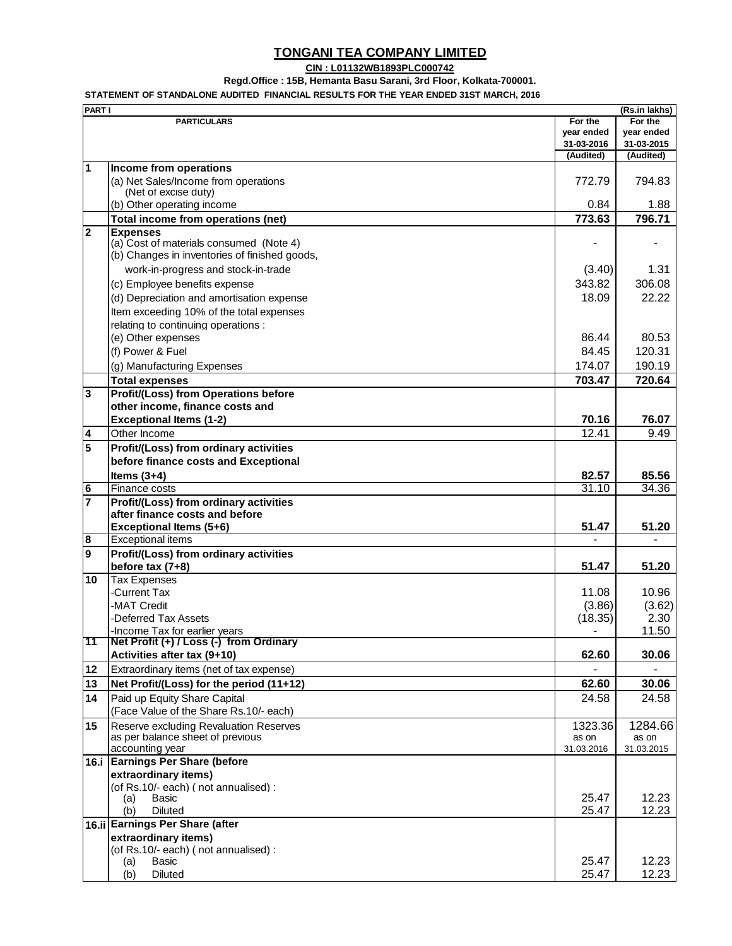## **TONGANI TEA COMPANY LIMITED**

## **CIN : L01132WB1893PLC000742**

**Regd.Office : 15B, Hemanta Basu Sarani, 3rd Floor, Kolkata-700001.**

**STATEMENT OF STANDALONE AUDITED FINANCIAL RESULTS FOR THE YEAR ENDED 31ST MARCH, 2016**

| <b>PART I</b>           |                                                                                                             |            | (Rs.in lakhs) |
|-------------------------|-------------------------------------------------------------------------------------------------------------|------------|---------------|
|                         | <b>PARTICULARS</b>                                                                                          | For the    | For the       |
|                         |                                                                                                             | year ended | year ended    |
|                         |                                                                                                             | 31-03-2016 | 31-03-2015    |
|                         |                                                                                                             | (Audited)  | (Audited)     |
| 1                       | Income from operations<br>(a) Net Sales/Income from operations                                              | 772.79     | 794.83        |
|                         | (Net of excise duty)<br>(b) Other operating income                                                          | 0.84       | 1.88          |
|                         | Total income from operations (net)                                                                          | 773.63     | 796.71        |
| $\overline{\mathbf{c}}$ |                                                                                                             |            |               |
|                         | <b>Expenses</b><br>(a) Cost of materials consumed (Note 4)<br>(b) Changes in inventories of finished goods, |            |               |
|                         | work-in-progress and stock-in-trade                                                                         | (3.40)     | 1.31          |
|                         | (c) Employee benefits expense                                                                               | 343.82     | 306.08        |
|                         | (d) Depreciation and amortisation expense                                                                   | 18.09      | 22.22         |
|                         | Item exceeding 10% of the total expenses                                                                    |            |               |
|                         |                                                                                                             |            |               |
|                         | relating to continuing operations :                                                                         |            |               |
|                         | (e) Other expenses                                                                                          | 86.44      | 80.53         |
|                         | (f) Power & Fuel                                                                                            | 84.45      | 120.31        |
|                         | (g) Manufacturing Expenses                                                                                  | 174.07     | 190.19        |
|                         | <b>Total expenses</b>                                                                                       | 703.47     | 720.64        |
| $\overline{3}$          | <b>Profit/(Loss) from Operations before</b>                                                                 |            |               |
|                         | other income, finance costs and                                                                             |            |               |
|                         | <b>Exceptional Items (1-2)</b>                                                                              | 70.16      | 76.07         |
|                         |                                                                                                             | 12.41      | 9.49          |
| 4                       | Other Income                                                                                                |            |               |
| $\overline{5}$          | Profit/(Loss) from ordinary activities                                                                      |            |               |
|                         | before finance costs and Exceptional                                                                        |            |               |
|                         | Items $(3+4)$                                                                                               | 82.57      | 85.56         |
| $\bullet$               | Finance costs                                                                                               | 31.10      | 34.36         |
| $\overline{7}$          | Profit/(Loss) from ordinary activities                                                                      |            |               |
|                         | after finance costs and before                                                                              |            |               |
|                         | Exceptional Items (5+6)                                                                                     | 51.47      | 51.20         |
| 8                       | <b>Exceptional items</b>                                                                                    |            |               |
| 9                       | Profit/(Loss) from ordinary activities                                                                      |            |               |
|                         | before tax $(7+8)$                                                                                          | 51.47      | 51.20         |
| 10                      | <b>Tax Expenses</b>                                                                                         |            |               |
|                         | -Current Tax                                                                                                | 11.08      | 10.96         |
|                         | -MAT Credit                                                                                                 | (3.86)     | (3.62)        |
|                         | -Deferred Tax Assets                                                                                        | (18.35)    | 2.30          |
|                         | -Income Tax for earlier years                                                                               |            | 11.50         |
| 11                      | Net Profit (+) / Loss (-) from Ordinary                                                                     |            |               |
|                         | Activities after tax (9+10)                                                                                 | 62.60      | 30.06         |
|                         |                                                                                                             |            |               |
| 12                      | Extraordinary items (net of tax expense)                                                                    |            |               |
| 13                      | Net Profit/(Loss) for the period (11+12)                                                                    | 62.60      | 30.06         |
| 14                      | Paid up Equity Share Capital                                                                                | 24.58      | 24.58         |
|                         | (Face Value of the Share Rs.10/- each)                                                                      |            |               |
| 15                      | Reserve excluding Revaluation Reserves                                                                      | 1323.36    | 1284.66       |
|                         | as per balance sheet of previous                                                                            | as on      | as on         |
|                         | accounting year                                                                                             | 31.03.2016 | 31.03.2015    |
|                         | 16.i Earnings Per Share (before                                                                             |            |               |
|                         | extraordinary items)                                                                                        |            |               |
|                         | (of Rs.10/- each) (not annualised) :                                                                        |            |               |
|                         | Basic<br>(a)                                                                                                | 25.47      | 12.23         |
|                         | (b)<br><b>Diluted</b>                                                                                       | 25.47      | 12.23         |
|                         | 16.ii Earnings Per Share (after                                                                             |            |               |
|                         | extraordinary items)                                                                                        |            |               |
|                         | (of Rs.10/- each) (not annualised) :                                                                        |            |               |
|                         | (a)<br>Basic                                                                                                | 25.47      | 12.23         |
|                         | (b)<br><b>Diluted</b>                                                                                       | 25.47      | 12.23         |
|                         |                                                                                                             |            |               |